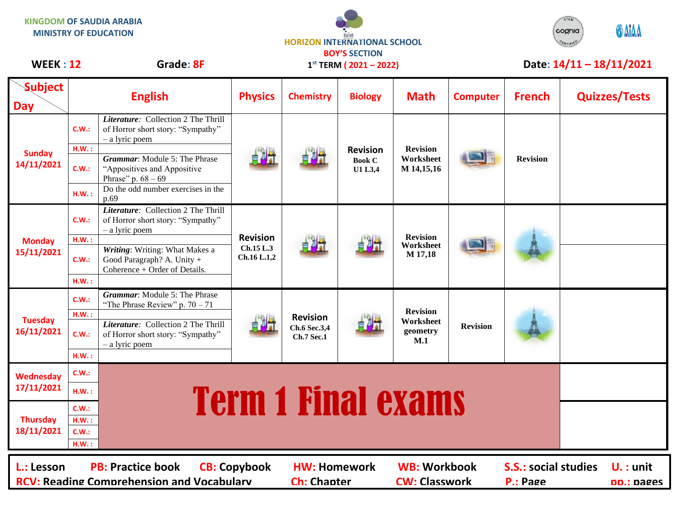**KINGDOM OF SAUDIA ARABIA MINISTRY OF EDUCATION**





## WEEK : 12 Grade: 8F 1<sup>st</sup> TERM (2021 - 2022) Date: 14/11 - 18/11/2021

| <b>Subject</b><br><b>Day</b>                                                                                                                                                                                                                             | <b>English</b> |                                                                                               | <b>Physics</b>                              | <b>Chemistry</b>                                     | <b>Biology</b>                              | <b>Math</b>                                     | <b>Computer</b> | <b>French</b>             | <b>Quizzes/Tests</b> |
|----------------------------------------------------------------------------------------------------------------------------------------------------------------------------------------------------------------------------------------------------------|----------------|-----------------------------------------------------------------------------------------------|---------------------------------------------|------------------------------------------------------|---------------------------------------------|-------------------------------------------------|-----------------|---------------------------|----------------------|
| <b>Sunday</b><br>14/11/2021                                                                                                                                                                                                                              | C.W.:          | Literature: Collection 2 The Thrill<br>of Horror short story: "Sympathy"<br>- a lyric poem    |                                             |                                                      | <b>Revision</b><br><b>Book C</b><br>U1 L3,4 | <b>Revision</b><br>Worksheet<br>M 14,15,16      |                 | <b>Revision</b>           |                      |
|                                                                                                                                                                                                                                                          | H.W.:<br>C.W.: | Grammar: Module 5: The Phrase<br>"Appositives and Appositive<br>Phrase" p. $68 - 69$          |                                             |                                                      |                                             |                                                 |                 |                           |                      |
|                                                                                                                                                                                                                                                          | HM.:           | Do the odd number exercises in the<br>p.69                                                    |                                             |                                                      |                                             |                                                 |                 |                           |                      |
| <b>Monday</b><br>15/11/2021                                                                                                                                                                                                                              | C.W.:          | Literature: Collection 2 The Thrill<br>of Horror short story: "Sympathy"<br>- a lyric poem    | <b>Revision</b><br>Ch.15 L.3<br>Ch.16 L.1,2 |                                                      |                                             | <b>Revision</b><br>Worksheet<br>M 17,18         |                 |                           |                      |
|                                                                                                                                                                                                                                                          | H.W.:<br>C.W.: | Writing: Writing: What Makes a<br>Good Paragraph? A. Unity +<br>Coherence + Order of Details. |                                             |                                                      |                                             |                                                 |                 |                           |                      |
|                                                                                                                                                                                                                                                          | HM.:           |                                                                                               |                                             |                                                      |                                             |                                                 |                 |                           |                      |
| <b>Tuesday</b><br>16/11/2021                                                                                                                                                                                                                             | C.W.:          | <b>Grammar:</b> Module 5: The Phrase<br>"The Phrase Review" p. $70 - 71$                      |                                             | <b>Revision</b><br>Ch.6 Sec.3,4<br><b>Ch.7 Sec.1</b> |                                             | <b>Revision</b><br>Worksheet<br>geometry<br>M.1 | <b>Revision</b> |                           |                      |
|                                                                                                                                                                                                                                                          | H.W.:<br>C.W.: | Literature: Collection 2 The Thrill<br>of Horror short story: "Sympathy"<br>- a lyric poem    |                                             |                                                      |                                             |                                                 |                 |                           |                      |
|                                                                                                                                                                                                                                                          | HM.:           |                                                                                               |                                             |                                                      |                                             |                                                 |                 |                           |                      |
| <b>Wednesday</b><br>17/11/2021                                                                                                                                                                                                                           | C.W.:<br>HM.:  |                                                                                               |                                             |                                                      |                                             |                                                 |                 |                           |                      |
| <b>Term 1 Final exams</b><br>C.W.:<br><b>Thursday</b><br>H.W.:<br>18/11/2021<br>C.W.:<br>HM.:                                                                                                                                                            |                |                                                                                               |                                             |                                                      |                                             |                                                 |                 |                           |                      |
| <b>PB: Practice book</b><br><b>WB: Workbook</b><br><b>S.S.: social studies</b><br>L.: Lesson<br><b>CB: Copybook</b><br><b>HW: Homework</b><br><b>RCV: Reading Comprehension and Vocabulary</b><br><b>CW: Classwork</b><br><b>Ch: Chapter</b><br>P.: Page |                |                                                                                               |                                             |                                                      |                                             |                                                 |                 | $U.$ : unit<br>pp.: pages |                      |